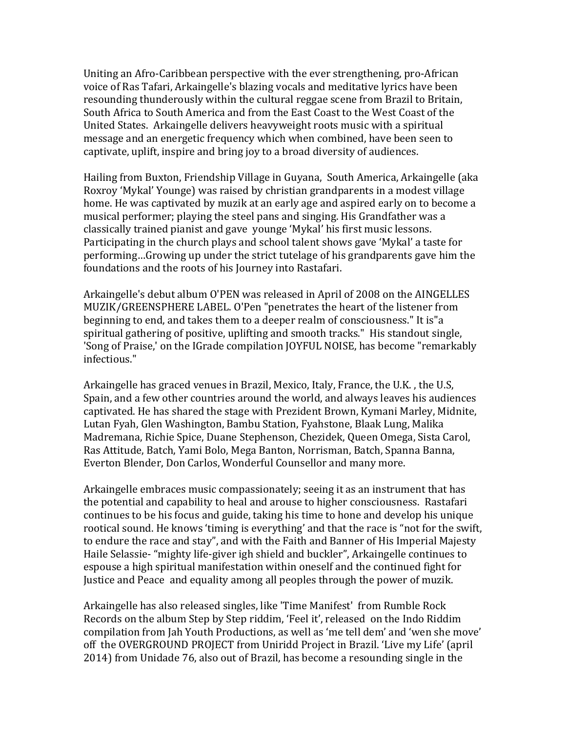Uniting an Afro-Caribbean perspective with the ever strengthening, pro-African voice of Ras Tafari, Arkaingelle's blazing vocals and meditative lyrics have been resounding thunderously within the cultural reggae scene from Brazil to Britain, South Africa to South America and from the East Coast to the West Coast of the United States. Arkaingelle delivers heavyweight roots music with a spiritual message and an energetic frequency which when combined, have been seen to captivate, uplift, inspire and bring joy to a broad diversity of audiences.

Hailing from Buxton, Friendship Village in Guyana, South America, Arkaingelle (aka Roxroy 'Mykal' Younge) was raised by christian grandparents in a modest village home. He was captivated by muzik at an early age and aspired early on to become a musical performer; playing the steel pans and singing. His Grandfather was a classically trained pianist and gave vounge 'Mykal' his first music lessons. Participating in the church plays and school talent shows gave 'Mykal' a taste for performing...Growing up under the strict tutelage of his grandparents gave him the foundations and the roots of his Journey into Rastafari.

Arkaingelle's debut album O'PEN was released in April of 2008 on the AINGELLES MUZIK/GREENSPHERE LABEL. O'Pen "penetrates the heart of the listener from beginning to end, and takes them to a deeper realm of consciousness." It is a spiritual gathering of positive, uplifting and smooth tracks." His standout single, 'Song of Praise,' on the IGrade compilation JOYFUL NOISE, has become "remarkably infectious."

Arkaingelle has graced venues in Brazil, Mexico, Italy, France, the U.K., the U.S. Spain, and a few other countries around the world, and always leaves his audiences captivated. He has shared the stage with Prezident Brown, Kymani Marley, Midnite, Lutan Fyah, Glen Washington, Bambu Station, Fyahstone, Blaak Lung, Malika Madremana, Richie Spice, Duane Stephenson, Chezidek, Queen Omega, Sista Carol, Ras Attitude, Batch, Yami Bolo, Mega Banton, Norrisman, Batch, Spanna Banna, Everton Blender, Don Carlos, Wonderful Counsellor and many more.

Arkaingelle embraces music compassionately; seeing it as an instrument that has the potential and capability to heal and arouse to higher consciousness. Rastafari continues to be his focus and guide, taking his time to hone and develop his unique rootical sound. He knows 'timing is everything' and that the race is "not for the swift, to endure the race and stay", and with the Faith and Banner of His Imperial Majesty Haile Selassie- "mighty life-giver igh shield and buckler", Arkaingelle continues to espouse a high spiritual manifestation within oneself and the continued fight for Justice and Peace and equality among all peoples through the power of muzik.

Arkaingelle has also released singles, like 'Time Manifest' from Rumble Rock Records on the album Step by Step riddim, 'Feel it', released on the Indo Riddim compilation from Jah Youth Productions, as well as 'me tell dem' and 'wen she move' off the OVERGROUND PROJECT from Uniridd Project in Brazil. 'Live my Life' (april 2014) from Unidade 76, also out of Brazil, has become a resounding single in the